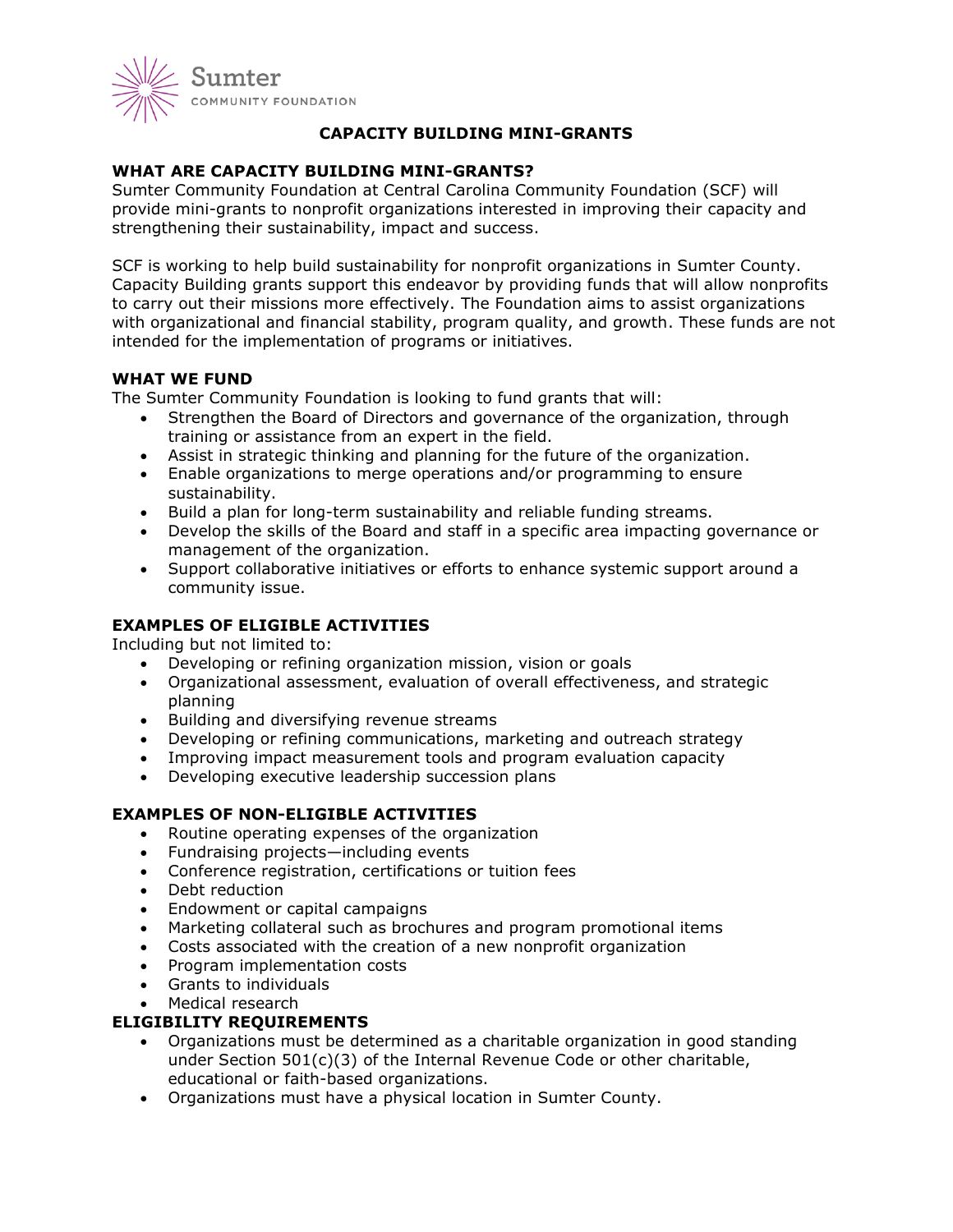

# **CAPACITY BUILDING MINI-GRANTS**

# **WHAT ARE CAPACITY BUILDING MINI-GRANTS?**

Sumter Community Foundation at Central Carolina Community Foundation (SCF) will provide mini-grants to nonprofit organizations interested in improving their capacity and strengthening their sustainability, impact and success.

SCF is working to help build sustainability for nonprofit organizations in Sumter County. Capacity Building grants support this endeavor by providing funds that will allow nonprofits to carry out their missions more effectively. The Foundation aims to assist organizations with organizational and financial stability, program quality, and growth. These funds are not intended for the implementation of programs or initiatives.

## **WHAT WE FUND**

The Sumter Community Foundation is looking to fund grants that will:

- Strengthen the Board of Directors and governance of the organization, through training or assistance from an expert in the field.
- Assist in strategic thinking and planning for the future of the organization.
- Enable organizations to merge operations and/or programming to ensure sustainability.
- Build a plan for long-term sustainability and reliable funding streams.
- Develop the skills of the Board and staff in a specific area impacting governance or management of the organization.
- Support collaborative initiatives or efforts to enhance systemic support around a community issue.

# **EXAMPLES OF ELIGIBLE ACTIVITIES**

Including but not limited to:

- Developing or refining organization mission, vision or goals
- Organizational assessment, evaluation of overall effectiveness, and strategic planning
- Building and diversifying revenue streams
- Developing or refining communications, marketing and outreach strategy
- Improving impact measurement tools and program evaluation capacity
- Developing executive leadership succession plans

### **EXAMPLES OF NON-ELIGIBLE ACTIVITIES**

- Routine operating expenses of the organization
- Fundraising projects—including events
- Conference registration, certifications or tuition fees
- Debt reduction
- Endowment or capital campaigns
- Marketing collateral such as brochures and program promotional items
- Costs associated with the creation of a new nonprofit organization
- Program implementation costs
- Grants to individuals
- Medical research

### **ELIGIBILITY REQUIREMENTS**

- Organizations must be determined as a charitable organization in good standing under Section 501(c)(3) of the Internal Revenue Code or other charitable, educational or faith-based organizations.
- Organizations must have a physical location in Sumter County.